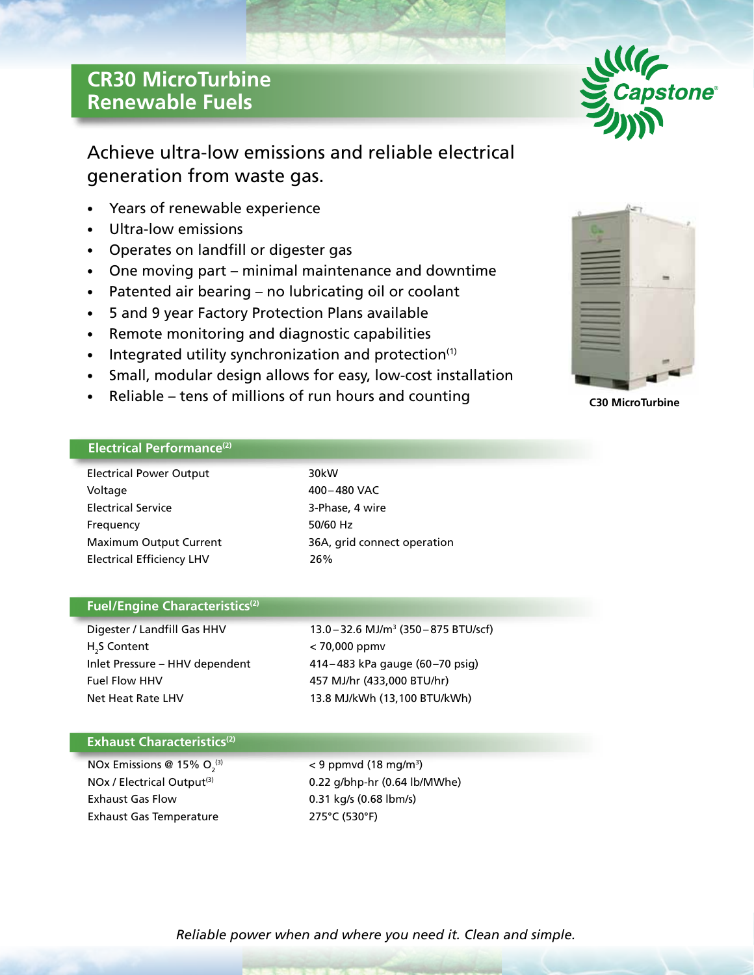# **CR30 MicroTurbine Renewable Fuels**



## Achieve ultra-low emissions and reliable electrical generation from waste gas.

- Years of renewable experience
- Ultra-low emissions
- Operates on landfill or digester gas
- One moving part minimal maintenance and downtime
- Patented air bearing no lubricating oil or coolant
- 5 and 9 year Factory Protection Plans available
- Remote monitoring and diagnostic capabilities
- Integrated utility synchronization and protection<sup>(1)</sup>
- Small, modular design allows for easy, low-cost installation
- Reliable tens of millions of run hours and counting



**C30 MicroTurbine**

## **Electrical Performance(2)**

| <b>Electrical Power Output</b>   | 30kW                        |
|----------------------------------|-----------------------------|
| Voltage                          | 400-480 VAC                 |
| <b>Electrical Service</b>        | 3-Phase, 4 wire             |
| Frequency                        | 50/60 Hz                    |
| <b>Maximum Output Current</b>    | 36A, grid connect operation |
| <b>Electrical Efficiency LHV</b> | 26%                         |

## **Fuel/Engine Characteristics(2)**

Digester / Landfill Gas HHV H<sub>2</sub>S Content Fuel Flow HHV 457 MJ/hr (433,000 BTU/hr) Net Heat Rate LHV 13.8 MJ/kWh (13,100 BTU/kWh)

13.0 - 32.6 MJ/m<sup>3</sup> (350 - 875 BTU/scf)  $<$  70,000 ppmv Inlet Pressure – HHV dependent 414– 483 kPa gauge (60–70 psig)

## **Exhaust Characteristics(2)**

NOx Emissions @ 15%  $O_2^{(3)}$ Exhaust Gas Flow 0.31 kg/s (0.68 lbm/s) Exhaust Gas Temperature 275°C (530°F)

 $^{(3)}$   $<$  9 ppmvd (18 mg/m<sup>3</sup>) NOx / Electrical Output<sup>(3)</sup> 0.22 g/bhp-hr (0.64 lb/MWhe)

*Reliable power when and where you need it. Clean and simple.*